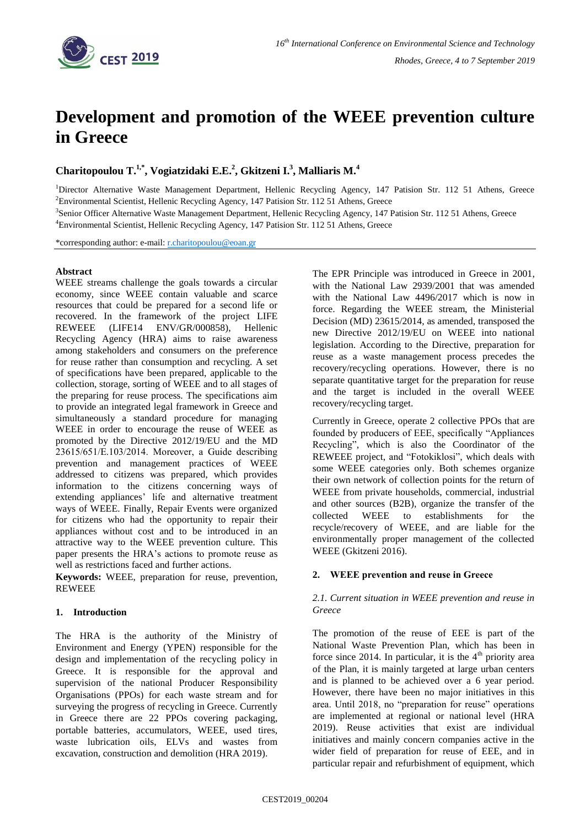

# **Development and promotion of the WEEE prevention culture in Greece**

**Charitopoulou T.1,\* , Vogiatzidaki E.E.<sup>2</sup> , Gkitzeni I.<sup>3</sup> , Malliaris M.<sup>4</sup>**

<sup>1</sup>Director Alternative Waste Management Department, Hellenic Recycling Agency, 147 Patision Str. 112 51 Athens, Greece <sup>2</sup>Environmental Scientist, Hellenic Recycling Agency, 147 Patision Str. 112 51 Athens, Greece

<sup>3</sup>Senior Officer Alternative Waste Management Department, Hellenic Recycling Agency, 147 Patision Str. 112 51 Athens, Greece <sup>4</sup>Environmental Scientist, Hellenic Recycling Agency, 147 Patision Str. 112 51 Athens, Greece

\*corresponding author: e-mail: [r.charitopoulou@eoan.gr](mailto:r.charitopoulou@eoan.gr)

# **Abstract**

WEEE streams challenge the goals towards a circular economy, since WEEE contain valuable and scarce resources that could be prepared for a second life or recovered. In the framework of the project LIFE REWEEE (LIFE14 ENV/GR/000858), Hellenic Recycling Agency (HRA) aims to raise awareness among stakeholders and consumers on the preference for reuse rather than consumption and recycling. A set of specifications have been prepared, applicable to the collection, storage, sorting of WEEE and to all stages of the preparing for reuse process. The specifications aim to provide an integrated legal framework in Greece and simultaneously a standard procedure for managing WEEE in order to encourage the reuse of WEEE as promoted by the Directive 2012/19/EU and the MD 23615/651/Ε.103/2014. Moreover, a Guide describing prevention and management practices of WEEE addressed to citizens was prepared, which provides information to the citizens concerning ways of extending appliances' life and alternative treatment ways of WEEE. Finally, Repair Events were organized for citizens who had the opportunity to repair their appliances without cost and to be introduced in an attractive way to the WEEE prevention culture. This paper presents the HRA's actions to promote reuse as well as restrictions faced and further actions.

**Keywords:** WEEE, preparation for reuse, prevention, **REWEEE** 

# **1. Introduction**

The HRA is the authority of the Ministry of Environment and Energy (YPEN) responsible for the design and implementation of the recycling policy in Greece. It is responsible for the approval and supervision of the national Producer Responsibility Organisations (PPOs) for each waste stream and for surveying the progress of recycling in Greece. Currently in Greece there are 22 PPOs covering packaging, portable batteries, accumulators, WEEE, used tires, waste lubrication oils, ELVs and wastes from excavation, construction and demolition (HRA 2019).

The EPR Principle was introduced in Greece in 2001, with the National Law 2939/2001 that was amended with the National Law 4496/2017 which is now in force. Regarding the WEEE stream, the Ministerial Decision (MD) 23615/2014, as amended, transposed the new Directive 2012/19/EU on WEEE into national legislation. According to the Directive, preparation for reuse as a waste management process precedes the recovery/recycling operations. However, there is no separate quantitative target for the preparation for reuse and the target is included in the overall WEEE recovery/recycling target.

Currently in Greece, operate 2 collective PPOs that are founded by producers of EEE, specifically "Appliances Recycling", which is also the Coordinator of the REWEEE project, and "Fotokiklosi", which deals with some WEEE categories only. Both schemes organize their own network of collection points for the return of WEEE from private households, commercial, industrial and other sources (B2B), organize the transfer of the collected WEEE to establishments for the recycle/recovery of WEEE, and are liable for the environmentally proper management of the collected WEEE (Gkitzeni 2016).

# **2. WΕΕΕ prevention and reuse in Greece**

#### *2.1. Current situation in WEEE prevention and reuse in Greece*

The promotion of the reuse of EEE is part of the National Waste Prevention Plan, which has been in force since 2014. In particular, it is the  $4<sup>th</sup>$  priority area of the Plan, it is mainly targeted at large urban centers and is planned to be achieved over a 6 year period. However, there have been no major initiatives in this area. Until 2018, no "preparation for reuse" operations are implemented at regional or national level (HRA 2019). Reuse activities that exist are individual initiatives and mainly concern companies active in the wider field of preparation for reuse of EEE, and in particular repair and refurbishment of equipment, which